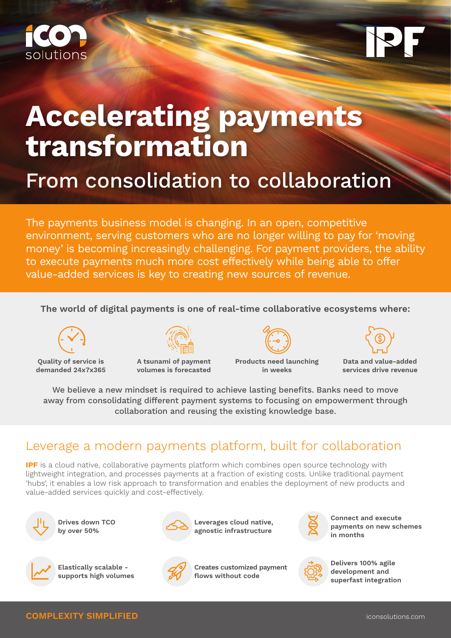

# **Accelerating payments transformation**

# From consolidation to collaboration

The payments business model is changing. In an open, competitive environment, serving customers who are no longer willing to pay for 'moving money' is becoming increasingly challenging. For payment providers, the ability to execute payments much more cost effectively while being able to offer value-added services is key to creating new sources of revenue.

### **The world of digital payments is one of real-time collaborative ecosystems where:**



**Quality of service is demanded 24x7x365**



**A tsunami of payment volumes is forecasted**



**Products need launching in weeks** 



**Data and value-added services drive revenue** 

We believe a new mindset is required to achieve lasting benefits. Banks need to move away from consolidating different payment systems to focusing on empowerment through collaboration and reusing the existing knowledge base.

## Leverage a modern payments platform, built for collaboration

**IPF** is a cloud native, collaborative payments platform which combines open source technology with lightweight integration, and processes payments at a fraction of existing costs. Unlike traditional payment 'hubs', it enables a low risk approach to transformation and enables the deployment of new products and value-added services quickly and cost-effectively.



**Drives down TCO by over 50%**



**Leverages cloud native, agnostic infrastructure**



**Connect and execute payments on new schemes in months**



**Elastically scalable supports high volumes**



**Creates customized payment flows without code**



**Delivers 100% agile development and superfast integration**